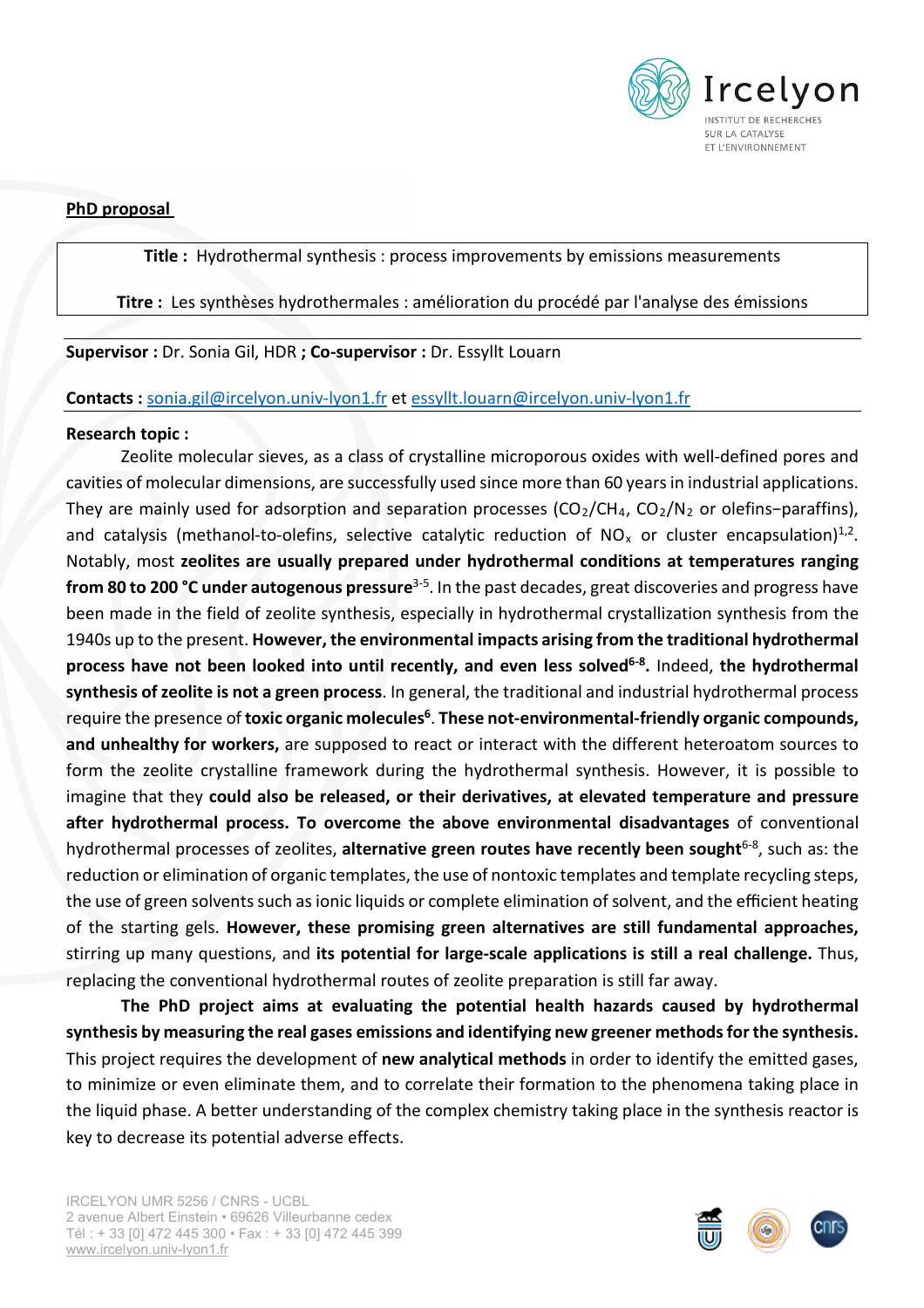

**PhD proposal**

## **Title :** Hydrothermal synthesis : process improvements by emissions measurements

**Titre :** Les synthèses hydrothermales : amélioration du procédé par l'analyse des émissions

# **Supervisor :** Dr. Sonia Gil, HDR **; Co-supervisor :** Dr. Essyllt Louarn

## **Contacts :** [sonia.gil@ircelyon.univ-lyon1.fr](mailto:sonia.gil@ircelyon.univ-lyon1.fr) et [essyllt.louarn@ircelyon.univ-lyon1.fr](mailto:essyllt.louarn@ircelyon.univ-lyon1.fr)

## **Research topic :**

Zeolite molecular sieves, as a class of crystalline microporous oxides with well-defined pores and cavities of molecular dimensions, are successfully used since more than 60 years in industrial applications. They are mainly used for adsorption and separation processes (CO2/CH4, CO2/N2 or olefins-paraffins), and catalysis (methanol-to-olefins, selective catalytic reduction of NO<sub>x</sub> or cluster encapsulation)<sup>1,2</sup>. Notably, most **zeolites are usually prepared under hydrothermal conditions at temperatures ranging from 80 to 200 °C under autogenous pressure**3-5 . In the past decades, great discoveries and progress have been made in the field of zeolite synthesis, especially in hydrothermal crystallization synthesis from the 1940s up to the present. **However, the environmental impacts arising from the traditional hydrothermal process have not been looked into until recently, and even less solved6-8 .** Indeed, **the hydrothermal synthesis of zeolite is not a green process**. In general, the traditional and industrial hydrothermal process require the presence of **toxic organic molecules6**. **These not-environmental-friendly organic compounds, and unhealthy for workers,** are supposed to react or interact with the different heteroatom sources to form the zeolite crystalline framework during the hydrothermal synthesis. However, it is possible to imagine that they **could also be released, or their derivatives, at elevated temperature and pressure after hydrothermal process. To overcome the above environmental disadvantages** of conventional hydrothermal processes of zeolites, alternative green routes have recently been sought<sup>6-8</sup>, such as: the reduction or elimination of organic templates, the use of nontoxic templates and template recycling steps, the use of green solvents such as ionic liquids or complete elimination of solvent, and the efficient heating of the starting gels. **However, these promising green alternatives are still fundamental approaches,** stirring up many questions, and **its potential for large-scale applications is still a real challenge.** Thus, replacing the conventional hydrothermal routes of zeolite preparation is still far away.

**The PhD project aims at evaluating the potential health hazards caused by hydrothermal synthesis by measuring the real gases emissions and identifying new greener methods for the synthesis.**  This project requires the development of **new analytical methods** in order to identify the emitted gases, to minimize or even eliminate them, and to correlate their formation to the phenomena taking place in the liquid phase. A better understanding of the complex chemistry taking place in the synthesis reactor is key to decrease its potential adverse effects.